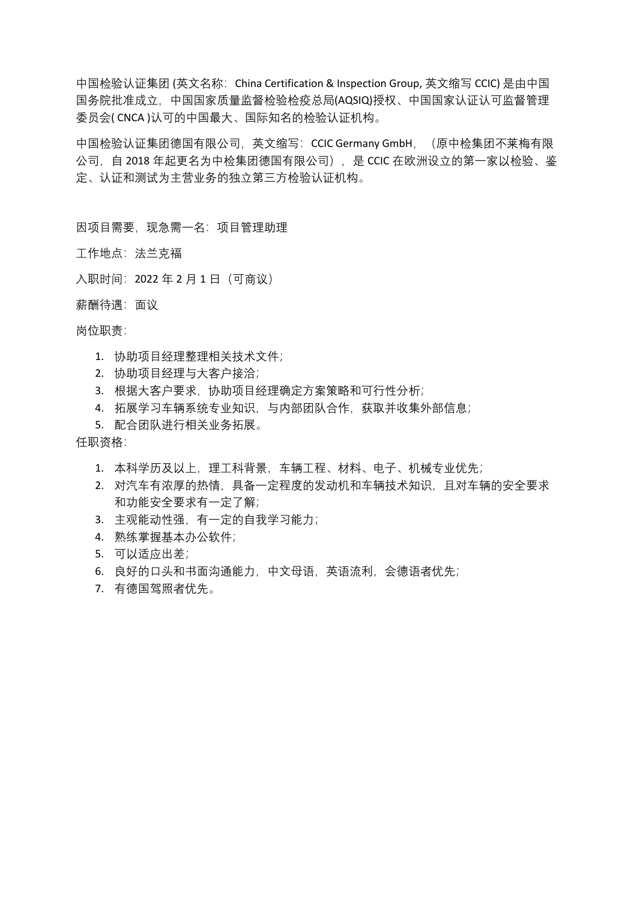中国检验认证集团 (英文名称: China Certification & Inspection Group, 英文缩写 CCIC) 是由中国 国务院批准成立,中国国家质量监督检验检疫总局(AQSIQ)授权、中国国家认证认可监督管理 委员会( CNCA )认可的中国最大、国际知名的检验认证机构。

中国检验认证集团德国有限公司,英文缩写: CCIC Germany GmbH, (原中检集团不莱梅有限 公司,自 2018 年起更名为中检集团德国有限公司),是 CCIC 在欧洲设立的第一家以检验、鉴 定、认证和测试为主营业务的独立第三方检验认证机构。

因项目需要,现急需一名:项目管理助理

工作地点:法兰克福

- 入职时间:2022 年 2 月 1 日(可商议)
- 薪酬待遇:面议

## 岗位职责:

- 1. 协助项目经理整理相关技术文件;
- 2. 协助项目经理与大客户接洽;
- 3. 根据大客户要求,协助项目经理确定方案策略和可行性分析;
- 4. 拓展学习车辆系统专业知识,与内部团队合作,获取并收集外部信息;
- 5. 配合团队进行相关业务拓展。

## 任职资格:

- 1. 本科学历及以上, 理工科背景, 车辆工程、材料、电子、机械专业优先;
- 2. 对汽车有浓厚的热情,具备一定程度的发动机和车辆技术知识,且对车辆的安全要求 和功能安全要求有一定了解;
- 3. 主观能动性强,有一定的自我学习能力;
- 4. 熟练掌握基本办公软件;
- 5. 可以适应出差;
- 6. 良好的口头和书面沟通能力,中文母语,英语流利,会德语者优先;
- 7. 有德国驾照者优先。